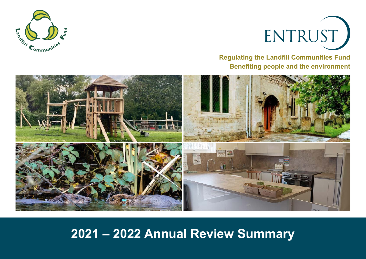



**Regulating the Landfill Communities Fund Benefiting people and the environment**



# **2021 – 2022 Annual Review Summary**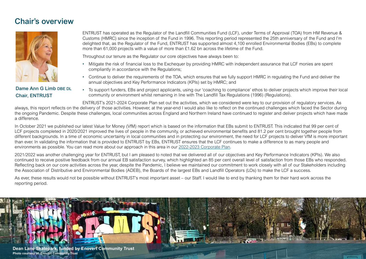### Chair's overview



### Dame Ann G Limb DBE DL Chair, ENTRUST

ENTRUST has operated as the Regulator of the Landfill Communities Fund (LCF), under Terms of Approval (TOA) from HM Revenue & Customs (HMRC) since the inception of the Fund in 1996. This reporting period represented the 25th anniversary of the Fund and I'm delighted that, as the Regulator of the Fund, ENTRUST has supported almost 4,100 enrolled Environmental Bodies (EBs) to complete more than 61,000 projects with a value of more than £1,62 bn across the lifetime of the Fund.

Throughout our tenure as the Regulator our core objectives have always been to:

- Mitigate the risk of financial loss to the Exchequer by providing HMRC with independent assurance that LCF monies are spent compliantly in accordance with the Regulations;
- Continue to deliver the requirements of the TOA, which ensures that we fully support HMRC in regulating the Fund and deliver the annual objectives and Key Performance Indicators (KPIs) set by HMRC; and
- To support funders, EBs and project applicants, using our 'coaching to compliance' ethos to deliver projects which improve their local community or environment whilst remaining in line with The Landfill Tax Regulations (1996) (Regulations).

ENTRUST's 2021-2024 Corporate Plan set out the activities, which we considered were key to our provision of regulatory services. As always, this report reflects on the delivery of those activities. However, at the year-end I would also like to reflect on the continued challenges which faced the Sector during the ongoing Pandemic. Despite these challenges, local communities across England and Northern Ireland have continued to register and deliver projects which have made a difference.

In October 2021 we published our latest Value for Money (VfM) report which is based on the information that EBs submit to ENTRUST. This indicated that 99 per cent of LCF projects completed in 2020/2021 improved the lives of people in the community, or achieved environmental benefits and 81.2 per cent brought together people from different backgrounds. In a time of economic uncertainty in local communities and in protecting our environment, the need for LCF projects to deliver VfM is more important than ever. In validating the information that is provided to ENTRUST by EBs, ENTRUST ensures that the LCF continues to make a difference to as many people and environments as possible. You can read more about our approach in this area in our [2022-2023 Corporate Plan](https://www.entrust.org.uk/about-us/corporate-documents/corporate-plans/).

2021/2022 was another challenging year for ENTRUST, but I am pleased to noted that we delivered all of our objectives and Key Performance Indicators (KPIs). We also continued to receive positive feedback from our annual EB satisfaction survey, which highlighted an 85 per cent overall level of satisfaction from those EBs who responded. Reflecting back on our core activities across the year, despite the Pandemic, I believe we maintained our commitment to work closely with all of our Stakeholders including the Association of Distributive and Environmental Bodies (ADEB), the Boards of the largest EBs and Landfill Operators (LOs) to make the LCF a success.

As ever, these results would not be possible without ENTRUST's most important asset – our Staff. I would like to end by thanking them for their hard work across the reporting period.

![](_page_1_Picture_12.jpeg)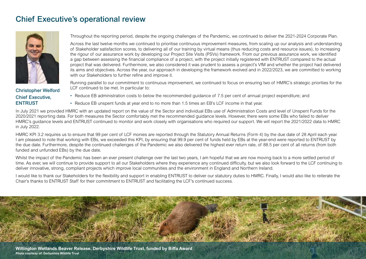### Chief Executive's operational review

![](_page_2_Picture_1.jpeg)

Christopher Welford Chief Executive, ENTRUST

Throughout the reporting period, despite the ongoing challenges of the Pandemic, we continued to deliver the 2021-2024 Corporate Plan.

Across the last twelve months we continued to prioritise continuous improvement measures, from scaling up our analysis and understanding of Stakeholder satisfaction scores, to delivering all of our training by virtual means (thus reducing costs and resource issues), to increasing the rigour of our assurance work by developing our Project Site Visits (PSVs) framework. From our previous assurance work, we identified a gap between assessing the financial compliance of a project, with the project initially registered with ENTRUST compared to the actual project that was delivered. Furthermore, we also considered it was prudent to assess a project's VfM and whether the project had delivered its aims and objectives. Across the year, our approach in developing the framework evolved and in 2022/2023, we are committed to working with our Stakeholders to further refine and improve it.

Running parallel to our commitment to continuous improvement, we continued to focus on ensuring two of HMRC's strategic priorities for the LCF continued to be met. In particular to:

- Reduce EB administration costs to below the recommended guidance of 7.5 per cent of annual project expenditure; and
- Reduce EB unspent funds at year end to no more than 1.5 times an EB's LCF income in that year.

In July 2021 we provided HMRC with an updated report on the value of the Sector and individual EBs use of Administration Costs and level of Unspent Funds for the 2020/2021 reporting data. For both measures the Sector comfortably met the recommended guidance levels. However, there were some EBs who failed to deliver HMRC's guidance levels and ENTRUST continued to monitor and work closely with organisations who required our support. We will report the 2021/2022 data to HMRC in July 2022.

HMRC KPI 3.2 requires us to ensure that 99 per cent of LCF monies are reported through the Statutory Annual Returns (Form 4) by the due date of 28 April each year. I am pleased to note that working with EBs, we exceeded this KPI, by ensuring that 99.9 per cent of funds held by EBs at the year-end were reported to ENTRUST by the due date. Furthermore, despite the continued challenges of the Pandemic we also delivered the highest ever return rate, of 88.5 per cent of all returns (from both funded and unfunded EBs) by the due date.

Whilst the impact of the Pandemic has been an ever present challenge over the last two years, I am hopeful that we are now moving back to a more settled period of time. As ever, we will continue to provide support to all our Stakeholders where they experience any continued difficulty, but we also look forward to the LCF continuing to deliver innovative, strong, compliant projects which improve local communities and the environment in England and Northern Ireland.

I would like to thank our Stakeholders for the flexibility and support in enabling ENTRUST to deliver our statutory duties to HMRC. Finally, I would also like to reiterate the Chair's thanks to ENTRUST Staff for their commitment to ENTRUST and facilitating the LCF's continued success.

![](_page_2_Picture_12.jpeg)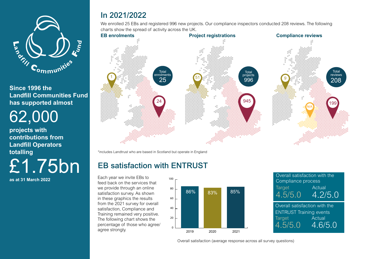![](_page_3_Picture_0.jpeg)

17 **has supported almost Since 1996 the Landfill Communities Fund** 

62,000

**projects with contributions from Landfill Operators totalling** £1.75bn

**as at 31 March 2022**

# In 2021/2022

We enrolled 25 EBs and registered 996 new projects. Our compliance inspectors conducted 208 reviews. The following charts show the spread of activity across the UK.

![](_page_3_Figure_7.jpeg)

\*includes Landtrust who are based in Scotland but operate in England

# EB satisfaction with ENTRUST

Each year we invite EBs to feed back on the services that we provide through an online satisfaction survey. As shown in these graphics the results from the 2021 survey for overall satisfaction, Compliance and Training remained very positive. The following chart shows the percentage of those who agree/ agree strongly.

![](_page_3_Figure_11.jpeg)

![](_page_3_Picture_12.jpeg)

Overall satisfaction (average response across all survey questions)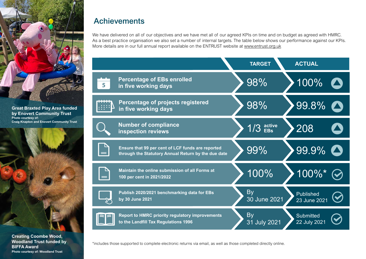![](_page_4_Picture_0.jpeg)

#### **Great Braxted Play Area funded by Enovert Community Trust Photo courtesy of: Craig Knapton and Enovert Community Trust**

![](_page_4_Picture_2.jpeg)

**Creating Coombe Wood, Woodland Trust funded by BIFFA Award Photo courtesy of: Woodland Trust**

## **Achievements**

We have delivered on all of our objectives and we have met all of our agreed KPIs on time and on budget as agreed with HMRC. As a best practice organisation we also set a number of internal targets. The table below shows our performance against our KPIs. More details are in our full annual report available on the ENTRUST website at [www.entrust.org.uk](https://www.entrust.org.uk/about-us/corporate-documents/annual-reports/)

|                         |                                                                                                          | <b>TARGET</b>             | <b>ACTUAL</b>                    |
|-------------------------|----------------------------------------------------------------------------------------------------------|---------------------------|----------------------------------|
| $\overline{\mathbf{5}}$ | <b>Percentage of EBs enrolled</b><br>in five working days                                                | 98%                       | 100%                             |
|                         | Percentage of projects registered<br>in five working days                                                | 98%                       | 99.8%                            |
|                         | <b>Number of compliance</b><br><b>inspection reviews</b>                                                 | $1/3$ active              | 208                              |
|                         | Ensure that 99 per cent of LCF funds are reported<br>through the Statutory Annual Return by the due date | 99%                       | 99.9%                            |
|                         | Maintain the online submission of all Forms at<br>100 per cent in 2021/2022                              | 100%                      | 100%*                            |
|                         | Publish 2020/2021 benchmarking data for EBs<br>by 30 June 2021                                           | By<br>30 June 2021        | Published<br>23 June 2021        |
|                         | <b>Report to HMRC priority regulatory improvements</b><br>to the Landfill Tax Regulations 1996           | <b>By</b><br>31 July 2021 | <b>Submitted</b><br>22 July 2021 |

\*includes those supported to complete electronic returns via email, as well as those completed directly online.